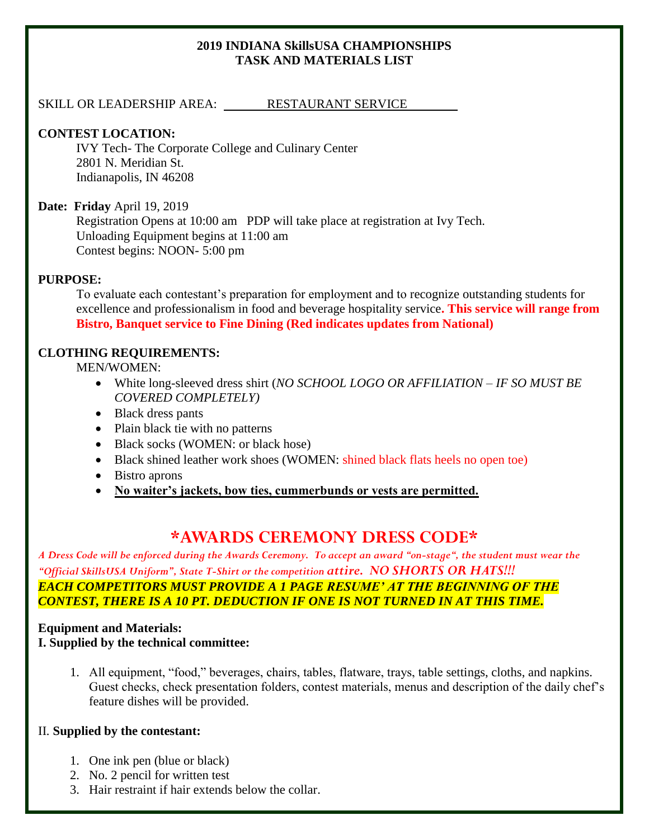#### **2019 INDIANA SkillsUSA CHAMPIONSHIPS TASK AND MATERIALS LIST**

### SKILL OR LEADERSHIP AREA: RESTAURANT SERVICE

## **CONTEST LOCATION:**

IVY Tech- The Corporate College and Culinary Center 2801 N. Meridian St. Indianapolis, IN 46208

#### **Date: Friday** April 19, 2019

Registration Opens at 10:00 am PDP will take place at registration at Ivy Tech. Unloading Equipment begins at 11:00 am Contest begins: NOON- 5:00 pm

### **PURPOSE:**

To evaluate each contestant's preparation for employment and to recognize outstanding students for excellence and professionalism in food and beverage hospitality service**. This service will range from Bistro, Banquet service to Fine Dining (Red indicates updates from National)**

### **CLOTHING REQUIREMENTS:**

MEN/WOMEN:

- White long-sleeved dress shirt (*NO SCHOOL LOGO OR AFFILIATION – IF SO MUST BE COVERED COMPLETELY)*
- Black dress pants
- Plain black tie with no patterns
- Black socks (WOMEN: or black hose)
- Black shined leather work shoes (WOMEN: shined black flats heels no open toe)
- Bistro aprons
- **No waiter's jackets, bow ties, cummerbunds or vests are permitted.**

## **\*AWARDS CEREMONY DRESS CODE\***

*A Dress Code will be enforced during the Awards Ceremony. To accept an award "on-stage", the student must wear the "Official SkillsUSA Uniform", State T-Shirt or the competition attire. NO SHORTS OR HATS!!! EACH COMPETITORS MUST PROVIDE A 1 PAGE RESUME' AT THE BEGINNING OF THE CONTEST, THERE IS A 10 PT. DEDUCTION IF ONE IS NOT TURNED IN AT THIS TIME.*

#### **Equipment and Materials: I. Supplied by the technical committee:**

1. All equipment, "food," beverages, chairs, tables, flatware, trays, table settings, cloths, and napkins. Guest checks, check presentation folders, contest materials, menus and description of the daily chef's feature dishes will be provided.

### II. **Supplied by the contestant:**

- 1. One ink pen (blue or black)
- 2. No. 2 pencil for written test
- 3. Hair restraint if hair extends below the collar.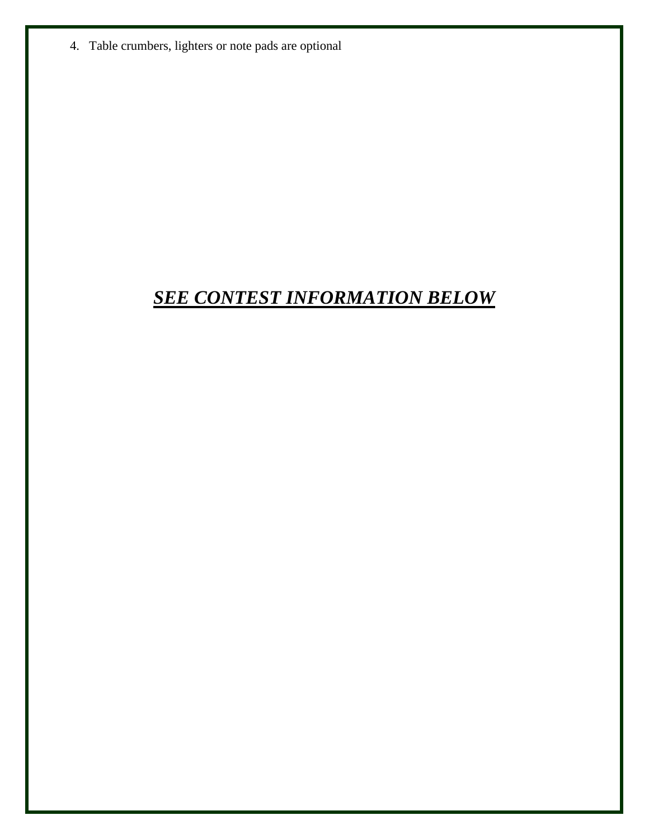4. Table crumbers, lighters or note pads are optional

## *SEE CONTEST INFORMATION BELOW*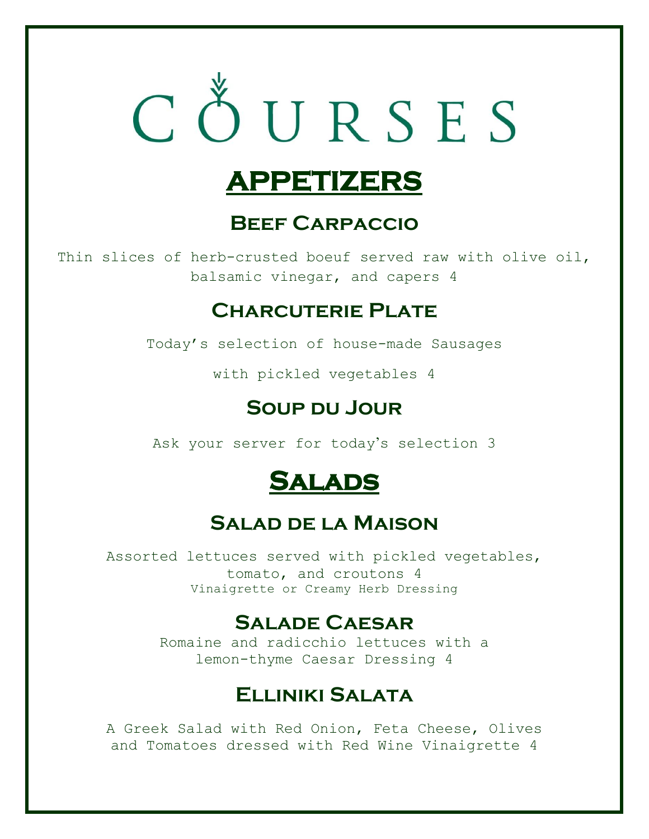

# **APPETIZERS**

## **Beef Carpaccio**

Thin slices of herb-crusted boeuf served raw with olive oil, balsamic vinegar, and capers 4

## **Charcuterie Plate**

Today's selection of house-made Sausages

with pickled vegetables 4

## **Soup du Jour**

Ask your server for today's selection 3



## **Salad de la Maison**

Assorted lettuces served with pickled vegetables, tomato, and croutons 4 Vinaigrette or Creamy Herb Dressing

## **Salade Caesar**

Romaine and radicchio lettuces with a lemon-thyme Caesar Dressing 4

## **Elliniki Salata**

A Greek Salad with Red Onion, Feta Cheese, Olives and Tomatoes dressed with Red Wine Vinaigrette 4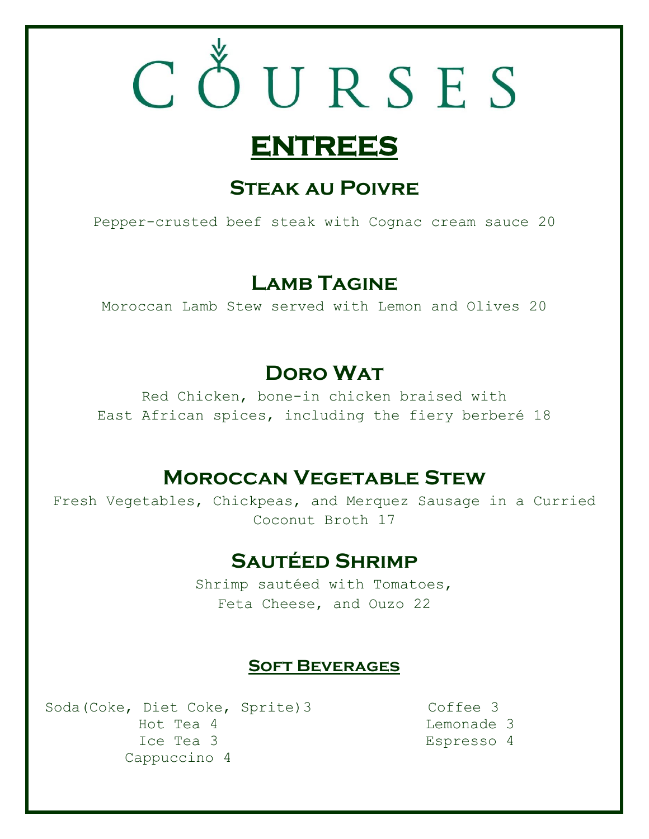# COURSES

# **ENTREES**

## **Steak au Poivre**

Pepper-crusted beef steak with Cognac cream sauce 20

## **LAMB TAGINE**

Moroccan Lamb Stew served with Lemon and Olives 20

# **Doro Wat**

Red Chicken, bone-in chicken braised with East African spices, including the fiery berberé 18

## **Moroccan Vegetable Stew**

Fresh Vegetables, Chickpeas, and Merquez Sausage in a Curried Coconut Broth 17

## **Sautéed Shrimp**

Shrimp sautéed with Tomatoes, Feta Cheese, and Ouzo 22

## **Soft Beverages**

Soda(Coke, Diet Coke, Sprite)3Coffee <sup>3</sup> Hot Tea <sup>4</sup>Lemonade <sup>3</sup> Ice Tea 3 *Espresso 4* Cappuccino 4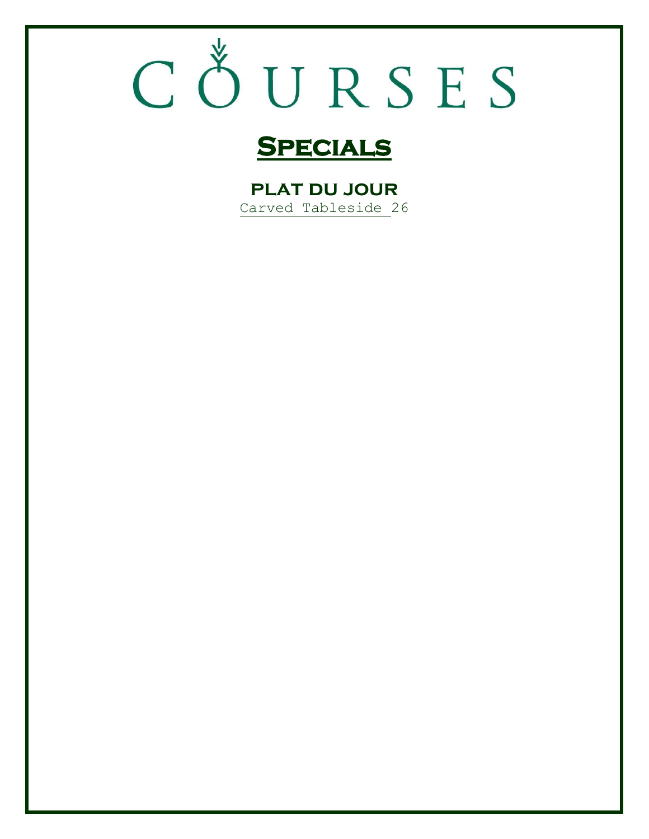# CÔURSES

# **Specials**

**plat du jour** Carved Tableside 26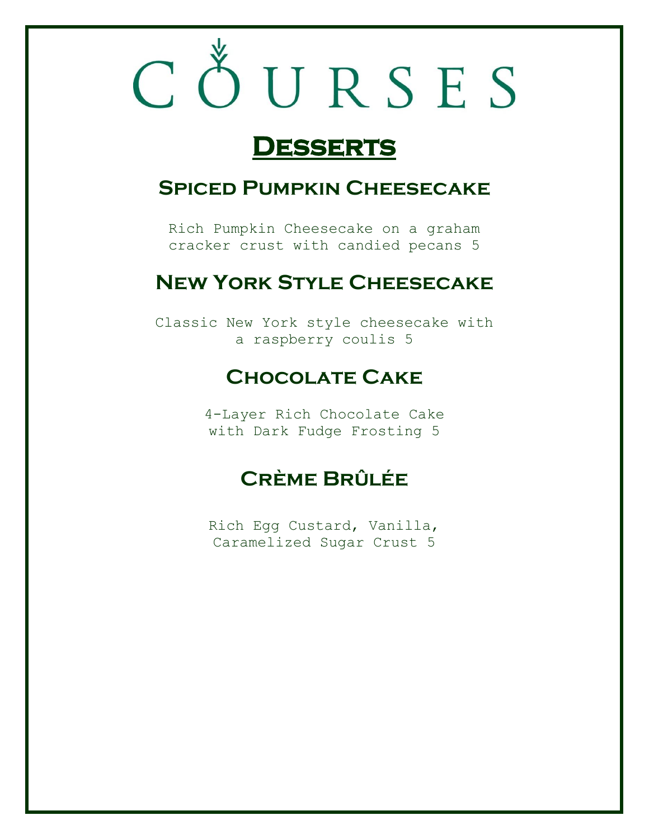# CŎURSES

# **Desserts**

## **Spiced Pumpkin Cheesecake**

Rich Pumpkin Cheesecake on a graham cracker crust with candied pecans 5

## **New York Style Cheesecake**

Classic New York style cheesecake with a raspberry coulis 5

## **Chocolate Cake**

4-Layer Rich Chocolate Cake with Dark Fudge Frosting 5

## **Crème Brûlée**

Rich Egg Custard, Vanilla, Caramelized Sugar Crust 5